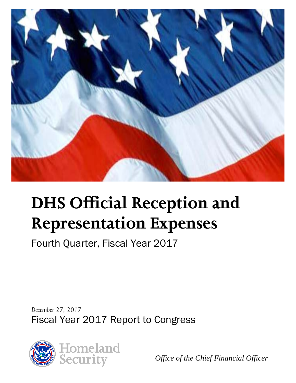

# **DHS Official Reception and Representation Expenses**

Fourth Quarter, Fiscal Year 2017

*December 27, 2017* Fiscal Year 2017 Report to Congress



*Office of the Chief Financial Officer*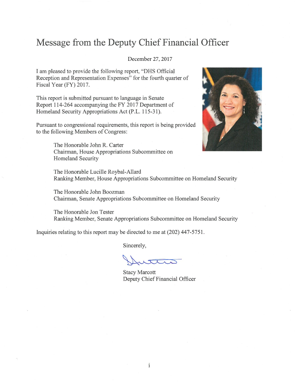#### Message from the Deputy Chief Financial Officer

#### December 27, 2017

I am pleased to provide the following report, "DHS Official Reception and Representation Expenses" for the fourth quarter of Fiscal Year (FY) 2017.

This report is submitted pursuant to language in Senate Report 114-264 accompanying the FY 2017 Department of Homeland Security Appropriations Act (P.L. 115-31).

Pursuant to congressional requirements, this report is being provided to the following Members of Congress:



The Honorable John R. Carter Chairman, House Appropriations Subcommittee on Homeland Security

The Honorable Lucille Roybal-Allard Ranking Member, House Appropriations Subcommittee on Homeland Security

The Honorable John Boozman Chairman, Senate Appropriations Subcommittee on Homeland Security

The Honorable Jon Tester Ranking Member, Senate Appropriations Subcommittee on Homeland Security

Inquiries relating to this report may be directed to me at (202) 447-5751.

Sincerely,

**Stacy Marcott** Deputy Chief Financial Officer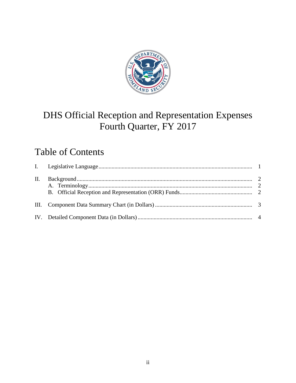

## DHS Official Reception and Representation Expenses Fourth Quarter, FY 2017

### Table of Contents

| П. |  |
|----|--|
|    |  |
|    |  |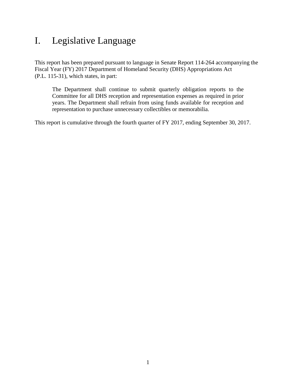#### <span id="page-3-0"></span>I. Legislative Language

This report has been prepared pursuant to language in Senate Report 114-264 accompanying the Fiscal Year (FY) 2017 Department of Homeland Security (DHS) Appropriations Act (P.L. 115-31), which states, in part:

The Department shall continue to submit quarterly obligation reports to the Committee for all DHS reception and representation expenses as required in prior years. The Department shall refrain from using funds available for reception and representation to purchase unnecessary collectibles or memorabilia.

This report is cumulative through the fourth quarter of FY 2017, ending September 30, 2017.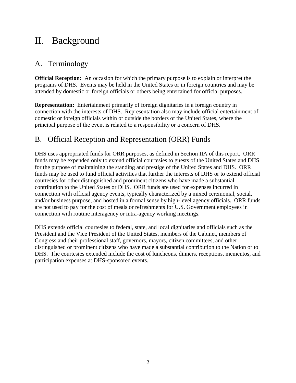#### <span id="page-4-0"></span>II. Background

#### <span id="page-4-1"></span>A. Terminology

**Official Reception:** An occasion for which the primary purpose is to explain or interpret the programs of DHS. Events may be held in the United States or in foreign countries and may be attended by domestic or foreign officials or others being entertained for official purposes.

**Representation:** Entertainment primarily of foreign dignitaries in a foreign country in connection with the interests of DHS. Representation also may include official entertainment of domestic or foreign officials within or outside the borders of the United States, where the principal purpose of the event is related to a responsibility or a concern of DHS.

#### <span id="page-4-2"></span>B. Official Reception and Representation (ORR) Funds

DHS uses appropriated funds for ORR purposes, as defined in Section IIA of this report. ORR funds may be expended only to extend official courtesies to guests of the United States and DHS for the purpose of maintaining the standing and prestige of the United States and DHS. ORR funds may be used to fund official activities that further the interests of DHS or to extend official courtesies for other distinguished and prominent citizens who have made a substantial contribution to the United States or DHS. ORR funds are used for expenses incurred in connection with official agency events, typically characterized by a mixed ceremonial, social, and/or business purpose, and hosted in a formal sense by high-level agency officials. ORR funds are not used to pay for the cost of meals or refreshments for U.S. Government employees in connection with routine interagency or intra-agency working meetings.

DHS extends official courtesies to federal, state, and local dignitaries and officials such as the President and the Vice President of the United States, members of the Cabinet, members of Congress and their professional staff, governors, mayors, citizen committees, and other distinguished or prominent citizens who have made a substantial contribution to the Nation or to DHS. The courtesies extended include the cost of luncheons, dinners, receptions, mementos, and participation expenses at DHS-sponsored events.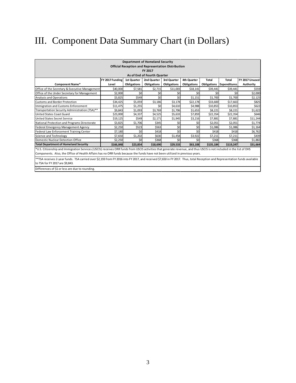# <span id="page-5-0"></span>III. Component Data Summary Chart (in Dollars)

| <b>Department of Homeland Security</b><br><b>Official Reception and Representation Distribution</b><br>FY 2017                                                                                                                                                                                      |                                                                                         |                    |                    |                    |                    |                    |                     |                |  |  |  |  |  |  |
|-----------------------------------------------------------------------------------------------------------------------------------------------------------------------------------------------------------------------------------------------------------------------------------------------------|-----------------------------------------------------------------------------------------|--------------------|--------------------|--------------------|--------------------|--------------------|---------------------|----------------|--|--|--|--|--|--|
|                                                                                                                                                                                                                                                                                                     | As of End of Fourth Quarter                                                             |                    |                    |                    |                    |                    |                     |                |  |  |  |  |  |  |
|                                                                                                                                                                                                                                                                                                     | FY 2017 Funding                                                                         | <b>1st Quarter</b> | 2nd Quarter        | 3rd Quarter        | 4th Quarter        | <b>Total</b>       | <b>Total</b>        | FY 2017 Unused |  |  |  |  |  |  |
| <b>Component Name*</b>                                                                                                                                                                                                                                                                              | Level                                                                                   | <b>Obligations</b> | <b>Obligations</b> | <b>Obligations</b> | <b>Obligations</b> | <b>Obligations</b> | <b>Expenditures</b> | Authority      |  |  |  |  |  |  |
| Office of the Secretary & Executive Management                                                                                                                                                                                                                                                      | \$40,000<br>\$7,581<br>\$2,715<br>\$11,003<br>\$18,141<br>\$39,441<br>\$39,441<br>\$559 |                    |                    |                    |                    |                    |                     |                |  |  |  |  |  |  |
| Office of the Under Secretary for Management<br>\$2,000<br>\$0<br>\$0<br>\$0<br>\$0<br>\$0<br>\$0<br>\$2,000                                                                                                                                                                                        |                                                                                         |                    |                    |                    |                    |                    |                     |                |  |  |  |  |  |  |
| \$0<br>\$0<br>\$549<br>\$1,700<br>Analysis and Operations<br>\$3,825<br>\$1,151<br>\$1,700<br>\$2,125                                                                                                                                                                                               |                                                                                         |                    |                    |                    |                    |                    |                     |                |  |  |  |  |  |  |
| \$825<br>\$5,059<br>\$3,178<br>\$34,425<br>\$3,186<br>\$22,178<br>\$33,600<br>\$17,663<br><b>Customs and Border Protection</b>                                                                                                                                                                      |                                                                                         |                    |                    |                    |                    |                    |                     |                |  |  |  |  |  |  |
| \$622<br>Immigration and Customs Enforcement<br>\$1,255<br>\$0<br>\$4,610<br>\$4,988<br>\$10,853<br>\$10,853<br>\$11,475                                                                                                                                                                            |                                                                                         |                    |                    |                    |                    |                    |                     |                |  |  |  |  |  |  |
| Transportation Security Administration (TSA)**                                                                                                                                                                                                                                                      | \$9,843<br>\$1,093<br>\$3.769<br>\$1.706<br>\$1.653<br>\$8.221<br>\$8,221<br>\$1,622    |                    |                    |                    |                    |                    |                     |                |  |  |  |  |  |  |
| <b>United States Coast Guard</b>                                                                                                                                                                                                                                                                    | \$23,000                                                                                | \$4,337            | \$4,525            | \$5,633            | \$7,859            | \$22,354           | \$22,354            | \$646          |  |  |  |  |  |  |
| <b>United States Secret Service</b>                                                                                                                                                                                                                                                                 | \$19,125                                                                                | \$549              | \$2,171            | \$1,945            | \$3,216            | \$7,881            | \$7,881             | \$11,244       |  |  |  |  |  |  |
| National Protection and Programs Directorate                                                                                                                                                                                                                                                        | \$3,825                                                                                 | \$1,706            | \$345              | \$0                | \$0                | \$2,051            | \$2,051             | \$1,774        |  |  |  |  |  |  |
| Federal Emergency Management Agency                                                                                                                                                                                                                                                                 | \$2,250                                                                                 | \$523              | \$563              | \$0                | \$0                | \$1,086            | \$1,086             | \$1,164        |  |  |  |  |  |  |
| Federal Law Enforcement Training Center                                                                                                                                                                                                                                                             | \$7,180                                                                                 | \$0                | \$418              | \$0                | \$0                | \$418              | \$418               | \$6,762        |  |  |  |  |  |  |
| Science and Technology                                                                                                                                                                                                                                                                              | \$7,650                                                                                 | \$1,202            | \$630              | \$1,458            | \$3,922            | \$7,211            | \$7,211             | \$439          |  |  |  |  |  |  |
| Domestic Nuclear Detection Office                                                                                                                                                                                                                                                                   | \$2,250                                                                                 | \$0                | \$368              | \$0                | \$0                | \$368              | \$368               | \$1,882        |  |  |  |  |  |  |
| <b>Total Department of Homeland Security</b>                                                                                                                                                                                                                                                        | \$166,848                                                                               | \$23,854           | \$18,690           | \$29,533           | \$63,108           | \$135,184          | \$119,247           | \$31,664       |  |  |  |  |  |  |
| *U.S. Citizenship and Immigration Services (USCIS) receives ORR funds from USCIS activities that generate revenue, and thus USCIS is not included in the list of DHS<br>Components. Also, the Office of Health Affairs has no ORR funds because the funds have not been utilized in previous years. |                                                                                         |                    |                    |                    |                    |                    |                     |                |  |  |  |  |  |  |
| **TSA receives 2-year funds. TSA carried over \$2,193 from FY 2016 into FY 2017, and received \$7,650 in FY 2017. Thus, total Reception and Representation funds available<br>to TSA for FY 2017 are \$9.843.                                                                                       |                                                                                         |                    |                    |                    |                    |                    |                     |                |  |  |  |  |  |  |
| Differences of \$1 or less are due to rounding.                                                                                                                                                                                                                                                     |                                                                                         |                    |                    |                    |                    |                    |                     |                |  |  |  |  |  |  |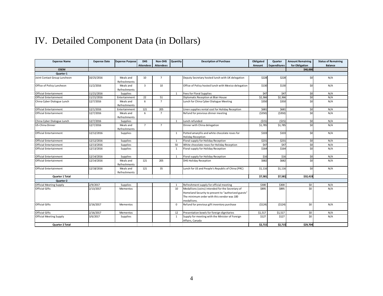# IV. Detailed Component Data (in Dollars)

<span id="page-6-0"></span>

| <b>Expense Name</b>            | <b>Expense Date</b> | <b>Expense Purpose</b> | <b>DHS</b><br><b>Attendees</b> | Non-DHS<br><b>Attendees</b> | Quantity       | <b>Description of Purchase</b>                                             | Obligated<br>Amount | Quarter<br><b>Expenditures</b> | <b>Amount Remaining</b><br>for Obligation | <b>Status of Remaining</b><br><b>Balance</b> |
|--------------------------------|---------------------|------------------------|--------------------------------|-----------------------------|----------------|----------------------------------------------------------------------------|---------------------|--------------------------------|-------------------------------------------|----------------------------------------------|
| <b>OSEM</b>                    |                     |                        |                                |                             |                |                                                                            |                     |                                | \$40,000                                  |                                              |
| <b>Quarter 1</b>               |                     |                        |                                |                             |                |                                                                            |                     |                                |                                           |                                              |
| Joint Contact Group Luncheon   | 10/25/2016          | Meals and              | 10                             | $\overline{7}$              |                | Deputy Secretary hosted lunch with UK delegation                           | \$228               | \$228                          | \$0                                       | N/A                                          |
|                                |                     | Refreshments           |                                |                             |                |                                                                            |                     |                                |                                           |                                              |
| Office of Policy Luncheon      | 11/2/2016           | Meals and              | $\overline{3}$                 | 10                          |                | Office of Policy hosted lunch with Mexico delegation                       | \$130               | \$130                          | \$0                                       | N/A                                          |
|                                |                     | Refreshments           |                                |                             |                |                                                                            |                     |                                |                                           |                                              |
| <b>Official Entertainment</b>  | 11/21/2016          | Supplies               |                                |                             | $\overline{1}$ | <b>Fees for Floral Supplies</b>                                            | \$47                | \$47                           | \$0                                       | N/A                                          |
| <b>Official Entertainment</b>  | 11/21/2016          | Entertainment          | 22                             | 51                          |                | Diplomatic Reception at Blair House                                        | \$2,366             | \$2,366                        | \$0                                       | N/A                                          |
| China Cyber Dialogue Lunch     | 12/7/2016           | Meals and              | 6                              | $\overline{7}$              |                | Lunch for China Cyber Dialogue Meeting                                     | \$350               | \$350                          | \$0                                       | N/A                                          |
|                                |                     | Refreshments           |                                |                             |                |                                                                            |                     |                                |                                           |                                              |
| <b>Official Entertainment</b>  | 12/1/2016           | Entertainment          | 121                            | 205                         |                | Linen supplies rental cost for Holiday Reception                           | \$681               | \$681                          | \$0                                       | N/A                                          |
| Official Entertainment         | 12/7/2016           | Meals and              | 6                              | $\overline{7}$              |                | Refund for previous dinner meeting                                         | ( \$350)            | (5350)                         | \$0                                       | N/A                                          |
|                                |                     | Refreshments           |                                |                             |                |                                                                            |                     |                                |                                           |                                              |
| China Cyber Dialogue Lunch     | 12/7/2016           | Supplies               |                                |                             | $\overline{1}$ | Lunch refunded                                                             | (515)               | (515)                          | \$0                                       | N/A                                          |
| US-China Dinner                | 12/7/2016           | Meals and              | $\overline{7}$                 | $\overline{7}$              |                | Dinner with China delegation                                               | \$1,785             | \$1,785                        | \$0                                       | N/A                                          |
|                                |                     | Refreshments           |                                |                             |                |                                                                            |                     |                                |                                           |                                              |
| <b>Official Entertainment</b>  | 12/12/2016          | Supplies               |                                |                             | $\mathbf{1}$   | Potted amaryllis and white chocolate roses for<br><b>Holiday Reception</b> | \$103               | \$103                          | \$0                                       | N/A                                          |
| <b>Official Entertainment</b>  | 12/12/2016          | Supplies               |                                |                             | $\overline{1}$ | Floral supply for Holiday Reception                                        | \$231               | \$231                          | \$0                                       | N/A                                          |
| <b>Official Entertainment</b>  | 12/13/2016          | <b>Supplies</b>        |                                |                             | 50             | White chocolate roses for Holiday Reception                                | \$47                | \$47                           | 50                                        | N/A                                          |
| <b>Official Entertainment</b>  | 12/13/2016          | Supplies               |                                |                             | 1              | Floral supply for Holiday Reception                                        | \$164               | \$164                          | \$0                                       | N/A                                          |
| <b>Official Entertainment</b>  | 12/14/2016          | Supplies               |                                |                             | 1              | Floral supply for Holiday Reception                                        | \$16                | \$16                           | \$0                                       | N/A                                          |
| <b>Official Entertainment</b>  | 12/14/2016          | Meals and              | 121                            | 205                         |                | <b>DHS Holiday Reception</b>                                               | \$682               | \$682                          | \$0                                       | N/A                                          |
|                                |                     | Refreshments           |                                |                             |                |                                                                            |                     |                                |                                           |                                              |
| <b>Official Entertainment</b>  | 12/18/2016          | Meals and              | 121                            | 35                          |                | Lunch for US and People's Republic of China (PRC)                          | \$1,116             | \$1,116                        | \$0                                       | N/A                                          |
|                                |                     | Refreshments           |                                |                             |                |                                                                            |                     |                                |                                           |                                              |
| <b>Quarter 1 Total</b>         |                     |                        |                                |                             |                |                                                                            | \$7,581             | \$7.581                        | \$32,419                                  |                                              |
| <b>Quarter 2</b>               |                     |                        |                                |                             |                |                                                                            |                     |                                |                                           |                                              |
| <b>Official Meeting Supply</b> | 2/9/2017            | Supplies               |                                |                             | $\mathbf{1}$   | Refreshment supply for official meeting                                    | \$300               | \$300                          | \$0                                       | N/A                                          |
| <b>Official Gifts</b>          | 2/13/2017           | Mementos               |                                |                             | 10             | Medallions (coins) intended for the Secretary of                           | \$895               | \$895                          | \$0                                       | N/A                                          |
|                                |                     |                        |                                |                             |                | Homeland Security to present to "authorized guests"                        |                     |                                |                                           |                                              |
|                                |                     |                        |                                |                             |                | The minimum order with this vendor was 100                                 |                     |                                |                                           |                                              |
|                                |                     |                        |                                |                             |                | medallions.                                                                |                     |                                |                                           |                                              |
| <b>Official Gifts</b>          | 2/16/2017           | Mementos               |                                |                             | $^{\circ}$     | Refund for previous gift inventory purchase                                | (5124)              | (5124)                         | \$0                                       | N/A                                          |
| <b>Official Gifts</b>          | 2/16/2017           | Mementos               |                                |                             | 12             | Presentation bowls for foreign dignitaries                                 | \$1,517             | \$1,517                        | \$0                                       | N/A                                          |
| <b>Official Meeting Supply</b> | 3/6/2017            | Supplies               |                                |                             | 1              | Supply for meeting with the Minister of Foreign<br>Affairs, Canada         | \$127               | \$127                          | \$0                                       | N/A                                          |
| Quarter 2 Total                |                     |                        |                                |                             |                |                                                                            | \$2,715             | \$2,715                        | \$29,704                                  |                                              |
|                                |                     |                        |                                |                             |                |                                                                            |                     |                                |                                           |                                              |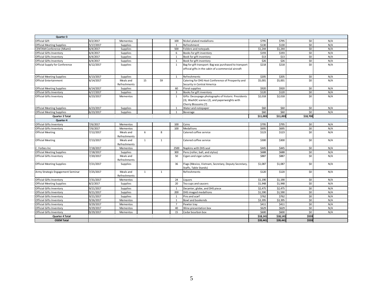| Quarter 3                         |           |                           |                |              |                |                                                                                                                             |          |          |          |     |
|-----------------------------------|-----------|---------------------------|----------------|--------------|----------------|-----------------------------------------------------------------------------------------------------------------------------|----------|----------|----------|-----|
| Official Gift                     | 4/2/2017  | Mementos                  |                |              | 100            | Nickel plated medallions                                                                                                    | \$795    | \$795    | \$0      | N/A |
| <b>Official Meeting Supplies</b>  | 5/17/2017 | <b>Supplies</b>           |                |              | $\mathbf{1}$   | Refreshment                                                                                                                 | \$130    | \$130    | \$0      | N/A |
| <b>CENTAM Conference (Miami)</b>  | 6/4/2017  | Supplies                  |                |              | 500            | Folders and notepads                                                                                                        | \$1,244  | \$1,244  | \$0      | N/A |
| Official Gifts Inventory          | 6/4/2017  | <b>Supplies</b>           |                |              | 6              | Books for gift inventory                                                                                                    | \$193    | \$193    | \$0      | N/A |
| Official Gifts Inventory          | 6/4/2017  | Supplies                  |                |              | 1              | Book for gift inventory                                                                                                     | \$13     | \$13     | \$0      | N/A |
| Official Gifts Inventory          | 6/4/2017  | Supplies                  |                |              | $\mathbf{1}$   | Book for gift inventory                                                                                                     | \$26     | \$26     | \$0      | N/A |
| Official Supply for Conference    | 6/12/2017 | Supplies                  |                |              | $\mathbf{1}$   | Bag for gift transport: Bag was purchased to transport<br>official gifts in the cabin of a commercial aircraft              | \$218    | \$218    | \$0      | N/A |
| <b>Official Meeting Supplies</b>  | 6/13/2017 | Supplies                  |                |              | $\mathbf{1}$   | Refreshments                                                                                                                | \$205    | \$205    | \$0      | N/A |
| <b>Official Entertainment</b>     | 6/14/2017 | Meals and<br>Refreshments | 15             | 59           |                | Catering for DHS Host Conference of Prosperity and<br>Security in Central America                                           | \$5,001  | \$5,001  | \$0      | N/A |
| <b>Official Meeting Supplies</b>  | 6/14/2017 | <b>Supplies</b>           |                |              | 60             | <b>Floral supplies</b>                                                                                                      | \$920    | \$920    | \$0      | N/A |
| Official Gifts Inventory          | 6/17/2017 | Supplies                  |                |              | 3              | Books for gift inventory                                                                                                    | \$120    | \$120    | \$0      | N/A |
| Official Gifts Inventory          | 6/23/2017 | Mementos                  |                |              | $\mathbf{1}$   | Gifts: Decoupage photographs of historic Presidents<br>(3), WashDC scenes (2), and paperweights with<br>Cherry Blossoms (7) | \$2,018  | \$2,018  | \$0      | N/A |
| <b>Official Meeting Supplies</b>  | 6/23/2017 | <b>Supplies</b>           |                |              | 1              | Water and notepaper                                                                                                         | \$60     | \$60     | \$0      | N/A |
| <b>Official Meeting Supplies</b>  | 6/23/2017 | Supplies                  |                |              | 1              | Beverage                                                                                                                    | \$60     | \$60     | \$0      | N/A |
| <b>Quarter 3 Total</b>            |           |                           |                |              |                |                                                                                                                             | \$11,003 | \$11.003 | \$18,700 |     |
| Quarter 4                         |           |                           |                |              |                |                                                                                                                             |          |          |          |     |
| Official Gifts Inventory          | 7/6/2017  | Mementos                  |                |              | 100            | Coins                                                                                                                       | \$795    | \$795    | \$0      | N/A |
| Official Gifts Inventory          | 7/6/2017  | Mementos                  |                |              | 100            | <b>Medallions</b>                                                                                                           | \$695    | \$695    | \$0      | N/A |
| <b>Official Meeting</b>           | 7/12/2017 | Meals and<br>Refreshments | 6              | $\mathbf{g}$ |                | Catered coffee service                                                                                                      | \$123    | \$123    | \$0      | N/A |
| <b>Official Meeting</b>           | 7/13/2017 | Meals and<br>Refreshments | $\mathbf{1}$   | $\mathbf{1}$ |                | Catered coffee service                                                                                                      | \$300    | \$300    | \$0      | N/A |
| C. Forbes Inc                     | 7/18/2017 | Mementos                  |                |              | 2500           | Napkins with DHS seal                                                                                                       | \$445    | \$445    | \$0      | N/A |
| <b>Official Meeting Supplies</b>  | 7/18/2017 | Supplies                  |                |              | 300            | Pens (roller, ball, and stylus)                                                                                             | \$688    | \$688    | \$0      | N/A |
| <b>Official Gifts Inventory</b>   | 7/20/2017 | Meals and<br>Refreshments |                |              | 50             | Cigars and cigar cutters                                                                                                    | \$887    | \$887    | \$0      | N/A |
| <b>Official Meeting Supplies</b>  | 7/21/2017 | Supplies                  |                |              | 36             | Flags (Mexico, Vietnam, Secretary, Deputy Secretary,<br>Staffs, Table Stands)                                               | \$1,087  | \$1,087  | \$0      | N/A |
| Army Strategic Engagement Seminar | 7/25/2017 | Meals and<br>Refreshments | $\overline{1}$ | $\mathbf{1}$ |                | <b>Refreshments</b>                                                                                                         | \$120    | \$120    | \$0      | N/A |
| Official Gifts Inventory          | 7/31/2017 | Mementos                  |                |              | 24             | Liguors                                                                                                                     | \$1.190  | \$1,190  | \$0      | N/A |
| <b>Official Meeting Supplies</b>  | 8/2/2017  | Supplies                  |                |              | 20             | Tea cups and saucers                                                                                                        | \$1,948  | \$1,948  | \$0      | N/A |
| Official Gifts Inventory          | 9/21/2017 | Supplies                  |                |              | 1              | Decanter, globe, and DHS piece                                                                                              | \$2,475  | \$2,475  | \$0      | N/A |
| Official Gifts Inventory          | 9/21/2017 | <b>Supplies</b>           |                |              | 200            | <b>DHS imaged medallions</b>                                                                                                | \$1,590  | \$1,590  | \$0      | N/A |
| Official Gifts Inventory          | 9/21/2017 | <b>Supplies</b>           |                |              | $\overline{1}$ | Pins and scarf                                                                                                              | \$762    | \$762    | \$0      | N/A |
| <b>Official Gifts Inventory</b>   | 9/26/2017 | Mementos                  |                |              | $\mathbf{1}$   | Bowl and bookends                                                                                                           | \$3,395  | \$3,395  | \$0      | N/A |
| Official Gifts Inventory          | 9/29/2017 | Mementos                  |                |              | $\overline{7}$ | Pewter tray                                                                                                                 | \$411    | \$411    | \$0      | N/A |
| <b>Official Gifts Inventory</b>   | 9/29/2017 | Mementos                  |                |              | 40             | Wine presentation box                                                                                                       | \$629    | \$629    | \$0      | N/A |
| <b>Official Gifts Inventory</b>   | 9/29/2017 | Mementos                  |                |              | 15             | Cedar bourbon box                                                                                                           | \$600    | \$600    | 50       | N/A |
| Quarter 4 Total                   |           |                           |                |              |                |                                                                                                                             | \$18,141 | \$18,141 | \$559    |     |
| <b>OSEM Total</b>                 |           |                           |                |              |                |                                                                                                                             | \$39.441 | \$39.441 | \$559    |     |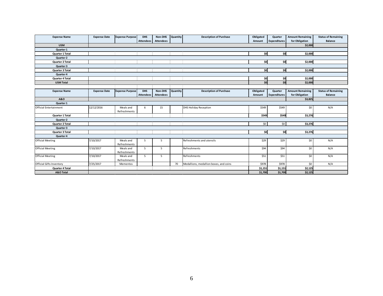| <b>Expense Name</b>             | <b>Expense Date</b> | <b>Expense Purpose</b>    | <b>DHS</b>       | Non-DHS          | Quantity | <b>Description of Purchase</b>         | Obligated | Quarter             | <b>Amount Remaining</b> | <b>Status of Remaining</b> |
|---------------------------------|---------------------|---------------------------|------------------|------------------|----------|----------------------------------------|-----------|---------------------|-------------------------|----------------------------|
|                                 |                     |                           | <b>Attendees</b> | <b>Attendees</b> |          |                                        | Amount    | <b>Expenditures</b> | for Obligation          | Balance                    |
| <b>USM</b>                      |                     |                           |                  |                  |          |                                        |           |                     | \$2,000                 |                            |
| Quarter 1                       |                     |                           |                  |                  |          |                                        |           |                     |                         |                            |
| Quarter 1 Total                 |                     |                           |                  |                  |          |                                        | \$0       | \$O                 | \$2,000                 |                            |
| Quarter 2                       |                     |                           |                  |                  |          |                                        |           |                     |                         |                            |
| Quarter 2 Total                 |                     |                           |                  |                  |          |                                        | \$0       | \$o                 | \$2,000                 |                            |
| Quarter 3                       |                     |                           |                  |                  |          |                                        |           |                     |                         |                            |
| Quarter 3 Total                 |                     |                           |                  |                  |          |                                        | \$0       | \$0                 | \$2,000                 |                            |
| Quarter 4                       |                     |                           |                  |                  |          |                                        |           |                     |                         |                            |
| Quarter 4 Total                 |                     |                           |                  |                  |          |                                        | \$0       | \$0                 | \$2,000                 |                            |
| <b>USM Total</b>                |                     |                           |                  |                  |          |                                        | \$0       | \$0                 | \$2,000                 |                            |
|                                 |                     |                           |                  |                  |          |                                        |           |                     |                         |                            |
| <b>Expense Name</b>             | <b>Expense Date</b> | <b>Expense Purpose</b>    | <b>DHS</b>       | Non-DHS          | Quantity | <b>Description of Purchase</b>         | Obligated | Quarter             | <b>Amount Remaining</b> | <b>Status of Remaining</b> |
|                                 |                     |                           | <b>Attendees</b> | <b>Attendees</b> |          |                                        | Amount    | <b>Expenditures</b> | for Obligation          | <b>Balance</b>             |
| <b>A&amp;O</b>                  |                     |                           |                  |                  |          |                                        |           |                     | \$3,825                 |                            |
| Quarter 1                       |                     |                           |                  |                  |          |                                        |           |                     |                         |                            |
| <b>Official Entertainment</b>   | 12/12/2016          | Meals and                 | 6                | 15               |          | <b>DHS Holiday Reception</b>           | \$549     | \$549               | \$0                     | N/A                        |
|                                 |                     | Refreshments              |                  |                  |          |                                        |           |                     |                         |                            |
| Quarter 1 Total                 |                     |                           |                  |                  |          |                                        | \$549     | \$549               | \$3,276                 |                            |
| Quarter 2                       |                     |                           |                  |                  |          |                                        |           |                     |                         |                            |
| Quarter 2 Total                 |                     |                           |                  |                  |          |                                        | \$0       | \$0                 | \$3,276                 |                            |
| Quarter 3                       |                     |                           |                  |                  |          |                                        |           |                     |                         |                            |
| Quarter 3 Total                 |                     |                           |                  |                  |          |                                        | \$o       | \$o                 | \$3,276                 |                            |
| Quarter 4                       |                     |                           |                  |                  |          |                                        |           |                     |                         |                            |
| <b>Official Meeting</b>         | 7/10/2017           | Meals and<br>Refreshments | 5                | 5                |          | Refreshments and utensils              | \$29      | \$29                | \$0                     | N/A                        |
| <b>Official Meeting</b>         | 7/10/2017           | Meals and<br>Refreshments | 5                | 5                |          | Refreshments                           | \$94      | \$94                | \$0                     | N/A                        |
| <b>Official Meeting</b>         | 7/10/2017           | Meals and<br>Refreshments | 5                | 5                |          | Refreshments                           | \$51      | \$51                | \$0                     | N/A                        |
| <b>Official Gifts Inventory</b> | 7/25/2017           | Mementos                  |                  |                  | 70       | Medallions, medallion boxes, and coins | \$978     | \$978               | \$0                     | N/A                        |
| Quarter 4 Total                 |                     |                           |                  |                  |          |                                        | \$1,151   | \$1,151             | \$2,125                 |                            |
| A&O Total                       |                     |                           |                  |                  |          |                                        | \$1,700   | \$1,700             | \$2,125                 |                            |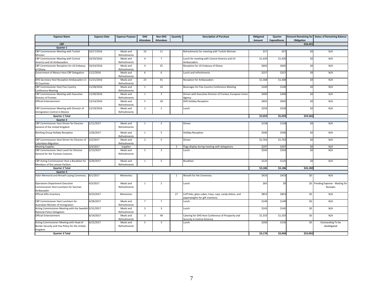| <b>Expense Name</b>                                                                                   | <b>Expense Date</b> | <b>Expense Purpose</b>    | <b>DHS</b><br><b>Attendees</b> | Non-DHS<br><b>Attendees</b> | Quantity       | <b>Description of Purchase</b>                                                             | Obligated<br>Amount | Quarter<br><b>Expenditures</b> | Obligation      | Amount Remaining for Status of Remaining Balance |
|-------------------------------------------------------------------------------------------------------|---------------------|---------------------------|--------------------------------|-----------------------------|----------------|--------------------------------------------------------------------------------------------|---------------------|--------------------------------|-----------------|--------------------------------------------------|
| <b>CBP</b>                                                                                            |                     |                           |                                |                             |                |                                                                                            |                     |                                | \$34,425        |                                                  |
| Quarter 1                                                                                             |                     |                           |                                |                             |                |                                                                                            |                     |                                |                 |                                                  |
| CBP Commissioner Meeting with Turkish<br>Minister                                                     | 10/17/2016          | Meals and<br>Refreshments | 10                             | 11                          |                | Refreshments for meeting with Turkish Minister                                             | \$57                | \$57                           | $\overline{50}$ | N/A                                              |
| CBP Commissioner Meeting with Central                                                                 | 10/20/2016          | Meals and                 | $\overline{4}$                 | $\overline{7}$              |                | Lunch for meeting with Central America and US                                              | \$1,420             | \$1,420                        | \$0             | N/A                                              |
| America and US Ambassadors                                                                            |                     | Refreshments              |                                |                             |                | Ambassadors                                                                                |                     |                                |                 |                                                  |
| CBP Commissioner Reception for US Embassy<br>of Ghana                                                 | 10/24/2016          | Meals and<br>Refreshments | $\overline{4}$                 | 25                          |                | Reception for US Embassy of Ghana                                                          | \$605               | \$605                          | \$0             | N/A                                              |
| Government of Mexico Host CBP Delegation                                                              | 11/2/2016           | Meals and<br>Refreshments | 6                              | 6                           |                | Lunch and refreshments                                                                     | \$257               | \$257                          | \$0             | N/A                                              |
| DHS Secretary Host Reception Ambassadors in<br>43 Countries                                           | 11/21/2016          | Meals and<br>Refreshments | 23                             | 41                          |                | <b>Reception for Ambassadors</b>                                                           | \$1,368             | \$1,368                        | \$0             | N/A                                              |
| CBP Commissioner Host Five Country<br><b>Conference Meeting</b>                                       | 11/28/2016          | Meals and<br>Refreshments | $\mathbf{1}$                   | 10                          |                | Beverages for Five Country Conference Meeting                                              | \$100               | \$100                          | \$0             | N/A                                              |
| CBP Commissioner Meeting with Executive                                                               | 11/30/2016          | Meals and                 | $\mathbf 1$                    | $\overline{3}$              |                | Dinner with Executive Director of Frontex, European Union                                  | \$400               | \$400                          | \$0             | N/A                                              |
| Director of Frontex                                                                                   |                     | Refreshments              |                                |                             |                | Agency                                                                                     |                     |                                |                 |                                                  |
| <b>Official Entertainment</b>                                                                         | 12/14/2016          | Meals and<br>Refreshments | 5                              | 18                          |                | <b>DHS Holiday Reception</b>                                                               | \$602               | \$602                          | \$0             | N/A                                              |
| CBP Commissioner Meeting with Director of                                                             | 12/19/2016          | Meals and                 | $\overline{2}$                 | $\overline{2}$              |                | Lunch                                                                                      | \$250               | \$250                          | \$0             | N/A                                              |
| Immigration Control in Mexico                                                                         |                     | Refreshments              |                                |                             |                |                                                                                            |                     |                                |                 |                                                  |
| Quarter 1 Total                                                                                       |                     |                           |                                |                             |                |                                                                                            | \$5,059             | \$5,059                        | \$29,366        |                                                  |
| <b>Quarter 2</b>                                                                                      |                     |                           |                                |                             |                |                                                                                            |                     |                                |                 |                                                  |
| CBP Commissioner Host Dinner for Director<br>General of the United Kingdom                            | 1/11/2017           | Meals and<br>Refreshments | $\mathbf{1}$                   | $\overline{2}$              |                | Dinner                                                                                     | \$158               | \$158                          | \$0             | N/A                                              |
| Working Group Holiday Reception                                                                       | 1/26/2017           | Meals and<br>Refreshments | $\mathbf{1}$                   | 5                           |                | <b>Holiday Reception</b>                                                                   | \$500               | \$500                          | \$0             | N/A                                              |
| CBP Commissioner Host Dinner for Director of<br>Colombian Migration                                   | 2/2/2017            | Meals and<br>Refreshments | $\overline{2}$                 | 5                           |                | Dinner                                                                                     | \$1,763             | \$1,763                        | \$0             | N/A                                              |
| <b>Meeting Supplies</b>                                                                               | 2/3/2017            | Supplies                  |                                |                             | $\overline{3}$ | Flags display during meeting with delegations                                              | \$297               | \$297                          | \$0             | N/A                                              |
| CBP Commissioner Host Lunch for Director<br>General for the Tunisian Customs.                         | 2/13/2017           | Meals and<br>Refreshments | $\overline{2}$                 | $\overline{3}$              |                | Lunch                                                                                      | \$343               | \$343                          | \$0             | N/A                                              |
| CBP Acting Commissioner Host a Breakfast for<br>Members of the Latvian Parliam                        | 3/29/2017           | Meals and<br>Refreshments | $\mathbf{1}$                   | 5                           |                | <b>Breakfast</b>                                                                           | \$125               | \$125                          | \$0             | N/A                                              |
| <b>Quarter 2 Total</b>                                                                                |                     |                           |                                |                             |                |                                                                                            | \$3,186             | \$3,186                        | \$26,180        |                                                  |
| Quarter 3                                                                                             |                     |                           |                                |                             |                |                                                                                            |                     |                                |                 |                                                  |
| Valor Memorial and Wreath Laying Ceremony                                                             | 4/1/2017            | Mementos                  |                                |                             | -1             | Wreath for the Ceremony                                                                    | \$433               | \$433                          | \$0             | N/A                                              |
| <b>Operations Department Executive</b><br>Commissioner Host Luncheon for German<br>Ambassador         | 4/3/2017            | Meals and<br>Refreshments | $\mathbf{1}$                   | $\overline{2}$              |                | Lunch                                                                                      | \$65                | \$0                            | \$0             | Pending Expense - Waiting for<br>Receipts        |
| <b>Official Gifts Inventory</b>                                                                       | 4/23/2017           | Mementos                  |                                |                             | 27             | Cuff links, glass cubes, trays, cups, candy dishes, and<br>paperweights for gift inventory | \$853               | \$853                          | \$0             | N/A                                              |
| CBP Commissioner Host Luncheon for<br>Australian Minister of Immigration                              | 4/28/2017           | Meals and<br>Refreshments | $\overline{7}$                 | $\overline{7}$              |                | Lunch                                                                                      | \$149               | \$149                          | \$0             | N/A                                              |
| Acting Commissioner Meeting with the Swedish 5/31/2017<br>National Police Delegation                  |                     | Meals and<br>Refreshments | 5                              | $\overline{3}$              |                | Lunch                                                                                      | \$145               | \$145                          | \$0             | N/A                                              |
| <b>Official Entertainment</b>                                                                         | 6/14/2017           | Meals and<br>Refreshments | $\overline{3}$                 | 49                          |                | Catering for DHS Host Conference of Prosperity and<br>Security in Central America          | \$1,333             | \$1,333                        | \$0             | N/A                                              |
| Acting Commissioner Meeting with Head of<br>Border Security and Visa Policy for the United<br>Kingdom | 6/22/2017           | Meals and<br>Refreshments | 5                              | $\overline{\mathbf{3}}$     |                | Lunch                                                                                      | \$200               | \$156                          | \$0             | Outstanding-To be<br>deobligated                 |
| Quarter 3 Total                                                                                       |                     |                           |                                |                             |                |                                                                                            | \$3,178             | \$3,069                        | \$23,002        |                                                  |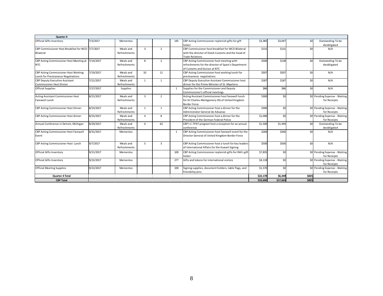| Quarter 4                                                                   |           |                           |                |                |              |                                                                                                                                   |          |          |       |                                               |
|-----------------------------------------------------------------------------|-----------|---------------------------|----------------|----------------|--------------|-----------------------------------------------------------------------------------------------------------------------------------|----------|----------|-------|-----------------------------------------------|
| <b>Official Gifts Inventory</b>                                             | 7/3/2017  | Mementos                  |                |                | 145          | CBP Acting Commissioner replenish gifts for gift<br>locker                                                                        | \$3,385  | \$3,047  | \$0   | Outstanding-To be<br>deobligated              |
| CBP Commissioner Host Breakfast for WCO 7/7/2017<br>Bilateral               |           | Meals and<br>Refreshments | $\overline{3}$ | 2              |              | CBP Commissioner host breakfast for WCO Bilateral<br>with the director of Dutch Customs and the head of<br><b>Trade Relations</b> | \$131    | \$131    | \$0   | N/A                                           |
| CBP Acting Commissioner Host Meeting at<br><b>NTC</b>                       | 7/14/2017 | Meals and<br>Refreshments | 8              | $\overline{2}$ |              | CBP Acting Commissioner host meeting with<br>refreshments for the director of Spain's Department<br>of Customs and Excises at NTC | \$500    | \$138    | \$0   | Outstanding-To be<br>deobligated              |
| CBP Acting Commissioner Host Working<br>Lunch for Preclearance Negotiations | 7/19/2017 | Meals and<br>Refreshments | 10             | 11             |              | CBP Acting Commissioner host working lunch for<br>preclearance negotiations                                                       | \$507    | \$507    | \$0   | N/A                                           |
| <b>CBP Deputy Executive Assistant</b><br><b>Commissioner Host Dinner</b>    | 7/21/2017 | Meals and<br>Refreshments | 1              | 1              |              | CBP Deputy Executive Assistant Commissioner host<br>dinner for the Prime Minister of St. Maartens                                 | \$187    | \$187    | \$0   | N/A                                           |
| <b>Official Supplies</b>                                                    | 7/27/2017 | Supplies                  |                |                | $\mathbf{1}$ | Supplies for the Commissioner and Deputy<br>Commissioner's official meetings                                                      | \$86     | \$86     | \$0   | N/A                                           |
| <b>Acting Assistant Commissioner Host</b><br>Farewell Lunch                 | 8/21/2017 | Meals and<br>Refreshments | $\overline{3}$ | $\overline{2}$ |              | Acting Assistant Commissioner host farewell lunch<br>for Sir Charles Montgomery DG of United Kingdom<br><b>Border Force</b>       | \$300    | \$0      |       | \$0 Pending Expense - Waiting<br>for Receipts |
| CBP Acting Commissioner Host Dinner                                         | 8/23/2017 | Meals and<br>Refreshments | 1              | $\mathbf{1}$   |              | CBP Acting Commissioner host a dinner for the<br>Administrator General de Aduanas                                                 | \$300    | \$0      |       | \$0 Pending Expense - Waiting<br>for Receipts |
| CBP Acting Commissioner Host dinner                                         | 8/25/2017 | Meals and<br>Refreshments | $\overline{a}$ | 8              |              | CBP Acting Commissioner host a dinner for the<br>President of the German Federal Police                                           | \$1,000  | \$0      |       | \$0 Pending Expense - Waiting<br>for Receipts |
| Annual Conference in Detroit, Michigan                                      | 8/29/2017 | Meals and<br>Refreshments | $\mathbf{0}$   | 62             |              | CBP's C-TPAT program host a reception for an annual<br>conference                                                                 | \$1,500  | \$1,494  | \$0   | Outstanding-To be<br>deobligated              |
| CBP Acting Commissioner Host Farewell<br>Event                              | 8/31/2017 | Mementos                  |                |                | $\mathbf{1}$ | CBP Acting Commissioner host farewell event for the<br>Director General of United Kingdom Border Force                            | \$260    | \$260    | \$0   | N/A                                           |
| CBP Acting Commissioner Host Lunch                                          | 9/7/2017  | Meals and<br>Refreshments | 5              | $\overline{3}$ |              | CBP Acting Commissioner host a lunch for key leaders<br>of International Affairs for the Kuwait Signing                           | \$500    | \$500    | \$0   | N/A                                           |
| <b>Official Gifts Inventory</b>                                             | 9/21/2017 | Mementos                  |                |                | 100          | CBP Acting Commissioner replenish gifts for INA's gift<br>locker                                                                  | \$7,835  | \$0      |       | \$0 Pending Expense - Waiting<br>for Receipts |
| <b>Official Gifts Inventory</b>                                             | 9/22/2017 | Mementos                  |                |                | 277          | Gifts and tokens for international visitors                                                                                       | \$4,118  | \$0      |       | \$0 Pending Expense - Waiting<br>for Receipts |
| <b>Official Meeting Supplies</b>                                            | 9/22/2017 | Mementos                  |                |                | 100          | Signing supplies, document holders, table flags, and<br>friendship pins                                                           | \$1,570  | \$0      |       | \$0 Pending Expense - Waiting<br>for Receipts |
| <b>Quarter 4 Total</b>                                                      |           |                           |                |                |              |                                                                                                                                   | \$22,178 | \$6,349  | \$825 |                                               |
| <b>CBP Total</b>                                                            |           |                           |                |                |              |                                                                                                                                   | \$33,600 | \$17,663 | \$825 |                                               |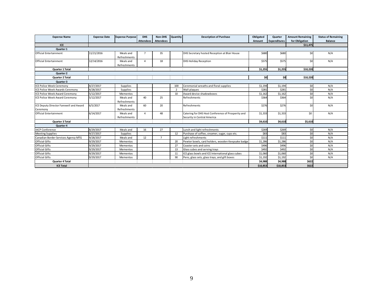| <b>Expense Name</b>                                | <b>Expense Date</b> | <b>Expense Purpose</b>    | <b>DHS</b>       | Non-DHS          | Quantity       | <b>Description of Purchase</b>                                                    | Obligated | Quarter             | <b>Amount Remaining</b> | <b>Status of Remaining</b> |
|----------------------------------------------------|---------------------|---------------------------|------------------|------------------|----------------|-----------------------------------------------------------------------------------|-----------|---------------------|-------------------------|----------------------------|
|                                                    |                     |                           | <b>Attendees</b> | <b>Attendees</b> |                |                                                                                   | Amount    | <b>Expenditures</b> | for Obligation          | <b>Balance</b>             |
| ICE                                                |                     |                           |                  |                  |                |                                                                                   |           |                     | \$11,475                |                            |
| Quarter 1                                          |                     |                           |                  |                  |                |                                                                                   |           |                     |                         |                            |
| <b>Official Entertainment</b>                      | 11/21/2016          | Meals and<br>Refreshments | $\overline{7}$   | 35               |                | DHS Secretary hosted Reception at Blair House                                     | \$680     | \$680               | \$0                     | N/A                        |
| <b>Official Entertainment</b>                      | 12/14/2016          | Meals and<br>Refreshments | $\overline{4}$   | 18               |                | <b>DHS Holiday Reception</b>                                                      | \$575     | <b>\$575</b>        | \$0                     | N/A                        |
| <b>Quarter 1 Total</b>                             |                     |                           |                  |                  |                |                                                                                   | \$1,255   | \$1,255             | \$10,220                |                            |
| Quarter 2                                          |                     |                           |                  |                  |                |                                                                                   |           |                     |                         |                            |
| <b>Quarter 2 Total</b>                             |                     |                           |                  |                  |                |                                                                                   | \$0       | \$0                 | \$10,220                |                            |
| Quarter 3                                          |                     |                           |                  |                  |                |                                                                                   |           |                     |                         |                            |
| <b>ICE Police Week Ceremony</b>                    | 4/27/2017           | Supplies                  |                  |                  | 100            | Ceremonial wreaths and floral supplies                                            | \$1,194   | \$1,194             | \$0                     | N/A                        |
| ICE Police Week Awards Ceremony                    | 4/28/2017           | Supplies                  |                  |                  | $\overline{2}$ | Wall plaques                                                                      | \$281     | \$281               | \$0                     | N/A                        |
| <b>ICE Police Week Award Ceremony</b>              | 5/12/2017           | Mementos                  |                  |                  | 10             | Award device shadowboxes                                                          | \$1,162   | \$1.162             | \$0                     | N/A                        |
| <b>ICE Police Week Award Ceremony</b>              | 5/12/2017           | Meals and<br>Refreshments | 40               | 25               |                | Refreshments                                                                      | \$364     | \$364               | \$0                     | N/A                        |
| ICE Deputy Director Farewell and Award<br>Ceremony | 6/5/2017            | Meals and<br>Refreshments | 60               | 20               |                | Refreshments                                                                      | \$276     | \$276               | \$0                     | N/A                        |
| Official Entertainment                             | 6/14/2017           | Meals and<br>Refreshments | $\overline{a}$   | 48               |                | Catering for DHS Host Conference of Prosperity and<br>Security in Central America | \$1,333   | \$1,333             | \$0                     | N/A                        |
| <b>Quarter 3 Total</b>                             |                     |                           |                  |                  |                |                                                                                   | \$4,610   | \$4.610             | \$5,610                 |                            |
| Quarter 4                                          |                     |                           |                  |                  |                |                                                                                   |           |                     |                         |                            |
| <b>IACP Conference</b>                             | 8/29/2017           | Meals and                 | 16               | 27               |                | Lunch and light refreshments                                                      | \$269     | \$269               | \$0                     | N/A                        |
| <b>Meeting Supplies</b>                            | 9/27/2017           | <b>Supplies</b>           |                  |                  | 12             | Purchase of coffee, creamer, sugar, cups etc.                                     | \$83      | \$83                | \$0                     | N/A                        |
| Canadian Border Services Agency MTG                | 9/28/2017           | Meals and                 | 12               | $\overline{7}$   |                | Light refreshments                                                                | \$111     | \$111               | \$0                     | N/A                        |
| <b>Official Gifts</b>                              | 9/29/2017           | Mementos                  |                  |                  | 20             | Pewter bowls, card holders, wooden Keepsake badge                                 | \$1,286   | \$1,286             | \$0                     | N/A                        |
| <b>Official Gifts</b>                              | 9/29/2017           | Mementos                  |                  |                  | 27             | Coaster sets and coins                                                            | \$496     | \$496               | \$0                     | N/A                        |
| <b>Official Gifts</b>                              | 9/29/2017           | Mementos                  |                  |                  | 13             | Glass cubes and serving trays                                                     | \$492     | \$492               | \$0                     | N/A                        |
| <b>Official Gifts</b>                              | 9/29/2017           | Mementos                  |                  |                  | 11             | ICE glass bowls and ICE International glass cubes                                 | \$1,060   | \$1,060             | \$0                     | N/A                        |
| <b>Official Gifts</b>                              | 9/29/2017           | Mementos                  |                  |                  | 90             | Pens, glass sets, glass trays, and gift boxes                                     | \$1,192   | \$1,192             | \$0                     | N/A                        |
| Quarter 4 Total                                    |                     |                           |                  |                  |                |                                                                                   | \$4,988   | \$4,988             | \$622                   |                            |
| <b>ICE Total</b>                                   |                     |                           |                  |                  |                |                                                                                   | \$10,853  | \$10,853            | \$622                   |                            |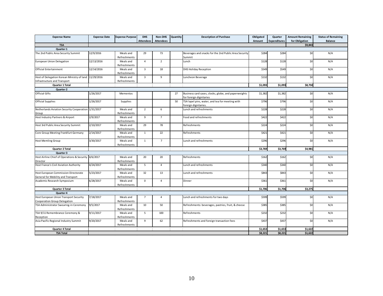| <b>Expense Name</b>                                                                   | <b>Expense Date</b> | <b>Expense Purpose</b>    | <b>DHS</b>              | Non-DHS          | Quantity | <b>Description of Purchase</b>                                                  | Obligated | Quarter             | <b>Amount Remaining</b> | <b>Status of Remaining</b> |
|---------------------------------------------------------------------------------------|---------------------|---------------------------|-------------------------|------------------|----------|---------------------------------------------------------------------------------|-----------|---------------------|-------------------------|----------------------------|
|                                                                                       |                     |                           | <b>Attendees</b>        | <b>Attendees</b> |          |                                                                                 | Amount    | <b>Expenditures</b> | for Obligation          | <b>Balance</b>             |
| <b>TSA</b>                                                                            |                     |                           |                         |                  |          |                                                                                 |           |                     | \$9,843                 |                            |
| Quarter 1                                                                             |                     |                           |                         |                  |          |                                                                                 |           |                     |                         |                            |
| The 2nd Public Area Security Summit                                                   | 12/9/2016           | Meals and<br>Refreshments | 29                      | 73               |          | Beverages and snacks for the 2nd Public Area Security<br>Summit                 | \$284     | \$284               | \$0                     | N/A                        |
| European Union Delegation                                                             | 12/13/2016          | Meals and<br>Refreshments | $\overline{4}$          | $\overline{2}$   |          | Lunch                                                                           | \$128     | \$128               | \$0                     | N/A                        |
| <b>Official Entertainment</b>                                                         | 12/14/2016          | Meals and<br>Refreshments | $\overline{\mathbf{3}}$ | 18               |          | <b>DHS Holiday Reception</b>                                                    | \$549     | \$549               | \$0                     | N/A                        |
| Host of Delegation Korean Ministry of land 11/29/2016<br>Infrastructure and Transport |                     | Meals and<br>Refreshments | $\overline{3}$          | 9                |          | Luncheon Beverage                                                               | \$132     | \$132               | \$0                     | N/A                        |
| Quarter 1 Total                                                                       |                     |                           |                         |                  |          |                                                                                 | \$1,093   | \$1,093             | \$8,750                 |                            |
| Quarter 2                                                                             |                     |                           |                         |                  |          |                                                                                 |           |                     |                         |                            |
| <b>Official Gifts</b>                                                                 | 1/26/2017           | Mementos                  |                         |                  | 27       |                                                                                 | \$1,382   | \$1,382             | \$0                     | N/A                        |
|                                                                                       |                     |                           |                         |                  |          | Business card cases, clocks, globe, and paperweights<br>for foreign dignitaries |           |                     |                         |                            |
| <b>Official Supplies</b>                                                              | 1/26/2017           | Supplies                  |                         |                  | 50       | TSA lapel pins, water, and tea for meeting with<br>foreign dignitaries.         | \$796     | \$796               | \$0                     | N/A                        |
| Netherlands Aviation Security Cooperation 1/31/2017<br>Group                          |                     | Meals and<br>Refreshments | $\overline{2}$          | 6                |          | Lunch and refreshments                                                          | \$228     | \$228               | \$0                     | N/A                        |
| Host Industry Partners & Airport                                                      | 2/9/2017            | Meals and<br>Refreshments | 9                       | $\overline{7}$   |          | Food and refreshments                                                           | \$422     | \$422               | \$0                     | N/A                        |
| Host 3rd Public Area Security Summit                                                  | 2/10/2017           | Meals and<br>Refreshments | 29                      | 78               |          | Refreshments                                                                    | \$224     | \$224               | \$0                     | N/A                        |
| Core Group Meeting Frankfurt Germany                                                  | 2/14/2017           | Meals and<br>Refreshments | $\mathbf{1}$            | 22               |          | Refreshments                                                                    | \$421     | \$421               | \$0                     | N/A                        |
| <b>Host Memling Group</b>                                                             | 3/30/2017           | Meals and<br>Refreshments | $\mathbf{1}$            | $\overline{7}$   |          | Lunch and refreshments                                                          | \$296     | \$296               | \$0                     | N/A                        |
| Quarter 2 Total                                                                       |                     |                           |                         |                  |          |                                                                                 | \$3,769   | \$3,769             | \$4,981                 |                            |
| Quarter 3                                                                             |                     |                           |                         |                  |          |                                                                                 |           |                     |                         |                            |
| Host Airline Chief of Operations & Security 4/6/2017                                  |                     | Meals and                 | 20                      | 20               |          | Refreshments                                                                    | \$162     | \$162               | \$0                     | N/A                        |
| Director                                                                              |                     | Refreshments              |                         |                  |          |                                                                                 |           |                     |                         |                            |
| Host France's Civil Aviation Authority                                                | 4/24/2017           | Meals and<br>Refreshments | 5                       | $\overline{4}$   |          | Lunch and refreshments                                                          | \$340     | \$340               | \$0                     | N/A                        |
| Host European Commission Directorate                                                  | 5/23/2017           | Meals and                 | 32                      | 13               |          | Lunch and refreshments                                                          | \$843     | \$843               | \$0                     | N/A                        |
| General for Mobility and Transport<br>Academic Research Symposium                     | 6/28/2017           | Refreshments<br>Meals and | $\mathbf 0$             | 4                |          | Dinner                                                                          | \$361     | \$361               | \$0                     | N/A                        |
| Quarter 3 Total                                                                       |                     | Refreshments              |                         |                  |          |                                                                                 | \$1,706   | \$1,706             | \$3,275                 |                            |
| Quarter 4                                                                             |                     |                           |                         |                  |          |                                                                                 |           |                     |                         |                            |
| Host European Union Transport Security                                                | 7/18/2017           | Meals and                 | $\overline{7}$          | $\overline{4}$   |          | Lunch and refreshments for two days                                             | \$599     | \$599               | \$0                     | N/A                        |
| Cooperation Group Delegation                                                          |                     | Refreshments              |                         |                  |          |                                                                                 |           |                     |                         |                            |
| TSA Administrator Swearing-in Ceremony                                                | 9/5/2017            | Meals and<br>Refreshments | 10                      | 50               |          | Refreshments: beverages, pastries, fruit, & cheese                              | \$385     | \$385               | \$0                     | N/A                        |
| TSA 9/11 Remembrance Ceremony &<br>Reception                                          | 9/11/2017           | Meals and<br>Refreshments | 5                       | 100              |          | Refreshments                                                                    | \$232     | \$232               | \$0                     | N/A                        |
| Asia Pacific Regional Industry Summit                                                 | 9/20/2017           | Meals and<br>Refreshments | 9                       | 62               |          | Refreshments and foreign transaction fees                                       | \$437     | \$437               | \$0                     | N/A                        |
| Quarter 4 Total                                                                       |                     |                           |                         |                  |          |                                                                                 | \$1,653   | \$1,653             | \$1,622                 |                            |
| <b>TSA Total</b>                                                                      |                     |                           |                         |                  |          |                                                                                 | \$8,221   | \$8,221             | \$1,622                 |                            |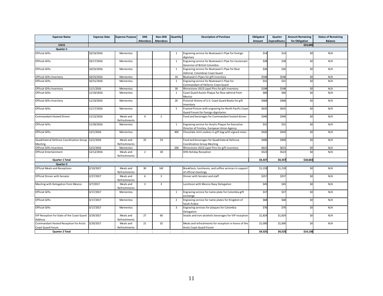| <b>Expense Name</b>                                           | <b>Expense Date</b>    | <b>Expense Purpose</b>    | <b>DHS</b>       | Non-DHS          | Quantity       | <b>Description of Purchase</b>                                                                   | Obligated | Quarter             | <b>Amount Remaining</b> | <b>Status of Remaining</b> |
|---------------------------------------------------------------|------------------------|---------------------------|------------------|------------------|----------------|--------------------------------------------------------------------------------------------------|-----------|---------------------|-------------------------|----------------------------|
|                                                               |                        |                           | <b>Attendees</b> | <b>Attendees</b> |                |                                                                                                  | Amount    | <b>Expenditures</b> | for Obligation          | <b>Balance</b>             |
| <b>USCG</b>                                                   |                        |                           |                  |                  |                |                                                                                                  |           |                     | \$23,000                |                            |
| Quarter 1                                                     |                        |                           |                  |                  |                |                                                                                                  |           |                     |                         |                            |
| <b>Official Gifts</b>                                         | 10/10/2016             | Mementos                  |                  |                  | $\mathbf{1}$   | Engraving service for Boatswain's Pipe for foreign<br>dignitary                                  | \$14      | \$14                | \$0                     | N/A                        |
| <b>Official Gifts</b>                                         | 10/17/2016             | Mementos                  |                  |                  | 1              | Engraving service for Boatswain's Pipe for Lieutenant<br>Governor of British Columbia            | \$28      | \$28                | \$0                     | N/A                        |
| <b>Official Gifts</b>                                         | 10/25/2016             | Mementos                  |                  |                  | 1              | Engraving service for Boatswain's Pipe for Rear<br>Admiral, Colombian Coast Guard                | \$26      | \$26                | \$0                     | N/A                        |
| Official Gifts Inventory                                      | 10/25/2016             | Mementos                  |                  |                  | 10             | Boatswain's Pipes for gift inventory                                                             | \$548     | \$548               | \$0                     | N/A                        |
| <b>Official Gifts</b>                                         | 10/31/2016             | Mementos                  |                  |                  | $\mathbf{1}$   | Engraving service for Boatswain's Pipe for<br>Commandant of Hellenic Coast Guard                 | \$31      | \$31                | \$0                     | N/A                        |
| <b>Official Gifts Inventory</b>                               | 11/1/2016              | Mementos                  |                  |                  | 30             | Rhinestone USCG Lapel Pins for gift inventory                                                    | \$198     | \$198               | \$0                     | N/A                        |
| <b>Official Gifts</b>                                         | 11/10/2016             | Mementos                  |                  |                  | $\mathbf{1}$   | Coast Guard Assets Plaque for Rear admiral from<br>Mexico                                        | \$60      | \$60                | \$0                     | N/A                        |
| Official Gifts Inventory                                      | 11/10/2016             | Mementos                  |                  |                  | 20             | Pictorial History of U.S. Coast Guard Books for gift<br>inventory                                | \$468     | \$468               | \$0                     | N/A                        |
| <b>Official Gifts</b>                                         | 11/17/2016             | Mementos                  |                  |                  | 5              | Framed Picture with engraving for North Pacific Coast<br>Guard Forum for foreign dignitaries     | \$635     | \$635               | \$0                     | N/A                        |
| Commandant Hosted Dinner                                      | 11/22/2016             | Meals and<br>Refreshments | $\overline{4}$   | $\overline{2}$   |                | Food and beverages for Commandant hosted dinner                                                  | \$340     | \$340               | \$0                     | N/A                        |
| <b>Official Gifts</b>                                         | 11/30/2016             | Mementos                  |                  |                  | 1              | Engraving service for Acrylic Plaque for Executive<br>Director of Frontex, European Union Agency | \$31      | \$31                | \$0                     | N/A                        |
| <b>Official Gifts</b>                                         | 12/1/2016              | Mementos                  |                  |                  | 300            | Chocolate mint cookies in gift bag with signed notes                                             | \$420     | \$420               | \$0                     | N/A                        |
| Quadrilateral Defense Coordination Group 12/2/2016<br>Meeting |                        | Meals and<br>Refreshments | 25               | 19               |                | Food and beverages for Quadrilateral Defense<br><b>Coordination Group Meeting</b>                | \$400     | \$400               | \$0                     | N/A                        |
| <b>Official Gifts Inventory</b>                               | 12/2/2016              | Mementos                  |                  |                  | 100            | Rhinestone USCG Lapel Pins for gift inventory                                                    | \$615     | \$615               | \$0                     | N/A                        |
| <b>Official Entertainment</b>                                 | 12/12/2016             | Meals and<br>Refreshments | $\overline{2}$   | 18               |                | <b>DHS Holiday Reception</b>                                                                     | \$523     | \$523               | \$0                     | N/A                        |
| Quarter 1 Total                                               |                        |                           |                  |                  |                |                                                                                                  | \$4,337   | \$4,337             | \$18,663                |                            |
| Quarter 2                                                     |                        |                           |                  |                  |                |                                                                                                  |           |                     |                         |                            |
| <b>Official Meals and Receptions</b>                          | 2/10/2017              | Meals and<br>Refreshments | 30               | 142              |                | Breakfasts, luncheons, and coffee services in support<br>of official meetings                    | \$1,218   | \$1,218             | \$0                     | N/A                        |
| Official Dinner with Senator                                  | $\overline{2/27/2017}$ | Meals and<br>Refreshments | 6                | $\overline{3}$   |                | Dinner with Senator and staff                                                                    | \$257     | \$257               | \$0                     | N/A                        |
| Meeting with Delegation from Mexico                           | 3/7/2017               | Meals and<br>Refreshments | 3                | $\overline{3}$   |                | Luncheon with Mexico Navy Delegation                                                             | \$45      | \$45                | \$0                     | N/A                        |
| <b>Official Gifts</b>                                         | 3/17/2017              | Mementos                  |                  |                  | 1              | Engraving service for name plate for Colombia gift<br>exchange                                   | \$37      | \$37                | \$0                     | N/A                        |
| <b>Official Gifts</b>                                         | 3/17/2017              | Mementos                  |                  |                  | $\overline{2}$ | Engraving service for name plates for Kingdom of<br>Saudi Arabia                                 | \$68      | \$68                | \$0                     | N/A                        |
| <b>Official Gifts</b>                                         | 3/17/2017              | Mementos                  |                  |                  | 3              | Engraving services for plaques for Colombia<br>Delegation                                        | \$76      | \$76                | \$0                     | N/A                        |
| VIP Reception for State of the Coast Guard<br>Address         | 3/29/2017              | Meals and<br>Refreshments | 27               | 60               |                | Snacks and non-alcoholic beverages for VIP reception                                             | \$1,824   | \$1,824             | \$0                     | N/A                        |
| Commandant Hosted Reception for Arctic                        | 3/29/2017              | Meals and                 | 21               | 32               |                | Meals and refreshments for reception in honor of the                                             | \$1,000   | \$1,000             | \$0                     | N/A                        |
| Coast Guard Forum                                             |                        | Refreshments              |                  |                  |                | Arctic Coast Guard Forum                                                                         |           |                     |                         |                            |
| Quarter 2 Total                                               |                        |                           |                  |                  |                |                                                                                                  | \$4,525   | \$4,525             | \$14.138                |                            |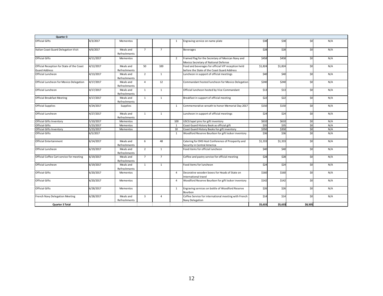| Quarter 3                                                         |           |                           |                |                |                |                                                                                                   |         |         |         |     |
|-------------------------------------------------------------------|-----------|---------------------------|----------------|----------------|----------------|---------------------------------------------------------------------------------------------------|---------|---------|---------|-----|
| <b>Official Gifts</b>                                             | 4/3/2017  | Mementos                  |                |                | 1              | Engraving service on name plate                                                                   | \$38    | \$38    | \$0     | N/A |
| Italian Coast Guard Delegation Visit                              | 4/6/2017  | Meals and<br>Refreshments | $\overline{7}$ | $\overline{7}$ |                | <b>Beverages</b>                                                                                  | \$28    | \$28    | \$0     | N/A |
| <b>Official Gifts</b>                                             | 4/11/2017 | Mementos                  |                |                | $\overline{2}$ | Framed flag for the Secretary of Mexican Navy and<br>Mexico Secretary of National Defense         | \$458   | \$458   | \$0     | N/A |
| Official Reception for State of the Coast<br><b>Guard Address</b> | 4/12/2017 | Meals and<br>Refreshments | 50             | 100            |                | Food and beverages for official VIP reception held<br>before the State of the Coast Guard Address | \$1,824 | \$1,824 | \$0     | N/A |
| Official Luncheon                                                 | 4/13/2017 | Meals and<br>Refreshments | $\overline{2}$ | 1              |                | Luncheon in support of official meetings                                                          | \$40    | \$40    | \$0     | N/A |
| Official Luncheon for Mexico Delegation                           | 4/17/2017 | Meals and<br>Refreshments | $\overline{4}$ | 12             |                | Commandant hosted luncheon for Mexico Delegation                                                  | \$240   | \$240   | \$0     | N/A |
| Official Luncheon                                                 | 4/17/2017 | Meals and<br>Refreshments | 1              | 1              |                | Official luncheon hosted by Vice Commandant                                                       | \$13    | \$13    | \$0     | N/A |
| <b>Official Breakfast Meeting</b>                                 | 4/17/2017 | Meals and<br>Refreshments | $\overline{1}$ | $\mathbf{1}$   |                | Breakfast in support of official meeting                                                          | \$22    | \$22    | \$0     | N/A |
| <b>Official Supplies</b>                                          | 4/24/2017 | <b>Supplies</b>           |                |                | 1              | Commemorative wreath to honor Memorial Day 2017                                                   | \$150   | \$150   | \$0     | N/A |
| Official Luncheon                                                 | 4/27/2017 | Meals and<br>Refreshments | 1              | 1              |                | Luncheon in support of official meetings                                                          | \$24    | \$24    | \$0     | N/A |
| Official Gifts Inventory                                          | 5/10/2017 | Mementos                  |                |                | 100            | USCG lapel pins for gift inventory                                                                | \$610   | \$610   | \$0     | N/A |
| <b>Official Gifts</b>                                             | 5/23/2017 | Mementos                  |                |                | $\overline{1}$ | Coast Guard History Book as official gift                                                         | \$35    | \$35    | \$0     | N/A |
| Official Gifts Inventory                                          | 5/23/2017 | Mementos                  |                |                | 10             | Coast Guard History Books for gift inventory                                                      | \$350   | \$350   | \$0     | N/A |
| <b>Official Gifts</b>                                             | 6/5/2017  |                           |                |                | $\mathbf{1}$   | Woodford Reserve Bourbon for gift locker inventory                                                | \$36    | \$36    | \$0     | N/A |
| <b>Official Entertainment</b>                                     | 6/14/2017 | Meals and<br>Refreshments | 6              | 48             |                | Catering for DHS Host Conference of Prosperity and<br>Security in Central America                 | \$1,333 | \$1,333 | \$0     | N/A |
| Official Luncheon                                                 | 6/19/2017 | Meals and<br>Refreshments | $\overline{2}$ | 1              |                | Food items for official luncheon                                                                  | \$40    | \$40    | \$0     | N/A |
| Official Coffee Cart service for meeting                          | 6/19/2017 | Meals and<br>Refreshments | $7^{\circ}$    | $\overline{7}$ |                | Coffee and pastry service for official meeting                                                    | \$28    | \$28    | \$0     | N/A |
| Official Luncheon                                                 | 6/19/2017 | Meals and<br>Refreshments | 1              | $\mathbf{1}$   |                | Food items for luncheon                                                                           | \$24    | \$24    | \$0     | N/A |
| <b>Official Gifts</b>                                             | 6/20/2017 | Mementos                  |                |                | $\overline{4}$ | Decorative wooden boxes for Heads of State on<br>International travel                             | \$160   | \$160   | \$0     | N/A |
| <b>Official Gifts</b>                                             | 6/20/2017 | Mementos                  |                |                | $\overline{a}$ | Woodford Reserve Bourbon for gift locker inventory                                                | \$142   | \$142   | \$0     | N/A |
| Official Gifts                                                    | 6/28/2017 | Mementos                  |                |                | $\mathbf{1}$   | Engraving services on bottle of Woodford Reserve<br>Bourbon                                       | \$26    | \$26    | \$0     | N/A |
| French Navy Delegation Meeting                                    | 6/28/2017 | Meals and<br>Refreshments | $\overline{3}$ | $\overline{4}$ |                | Coffee Service for international meeting with French<br>Navy Delegation                           | \$14    | \$14    | \$0     | N/A |
| Quarter 3 Total                                                   |           |                           |                |                |                |                                                                                                   | \$5,633 | \$5,633 | \$8,505 |     |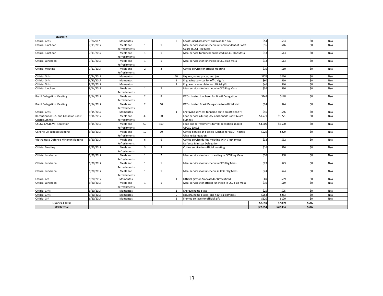| Quarter 4                             |           |              |                |                |                |                                                      |          |          |       |     |
|---------------------------------------|-----------|--------------|----------------|----------------|----------------|------------------------------------------------------|----------|----------|-------|-----|
| <b>Official Gifts</b>                 | 7/7/2017  | Mementos     |                |                | $\overline{2}$ | Coast Guard ornament and wooden box                  | \$54     | \$54     | \$0   | N/A |
| Official luncheon                     | 7/11/2017 | Meals and    | $\mathbf{1}$   | $\mathbf{1}$   |                | Meal services for luncheon in Commandant of Coast    | \$16     | \$16     | \$0   | N/A |
|                                       |           | Refreshments |                |                |                | Guard (CCG) Flag Mess                                |          |          |       |     |
| Official luncheon                     | 7/11/2017 | Meals and    | $\mathbf{1}$   | $\overline{1}$ |                | Meal service for luncheon hosted in CCG Flag Mess    | \$13     | \$13     | \$0   | N/A |
|                                       |           | Refreshments |                |                |                |                                                      |          |          |       |     |
| Official Luncheon                     | 7/11/2017 | Meals and    | $\mathbf{1}$   | 1              |                | Meal services for luncheon in CCG Flag Mess          | \$13     | \$13     | \$0   | N/A |
|                                       |           | Refreshments |                |                |                |                                                      |          |          |       |     |
| <b>Official Meeting</b>               | 7/11/2017 | Meals and    | $\overline{2}$ | $\overline{3}$ |                | Coffee service for official meeting                  | \$10     | \$10     | \$0   | N/A |
|                                       |           | Refreshments |                |                |                |                                                      |          |          |       |     |
| <b>Official Gifts</b>                 | 7/24/2017 | Mementos     |                |                | 20             | Liquors, name plates, and jars                       | \$276    | \$276    | \$0   | N/A |
| <b>Official Gifts</b>                 | 8/30/2017 | Mementos     |                |                | $\overline{1}$ | Engraving services for official gifts                | \$60     | \$60     | \$0   | N/A |
| <b>Official Gifts</b>                 | 8/30/2017 | Mementos     |                |                | $\overline{1}$ | Engraved name plate for official gift                | \$46     | \$46     | \$0   | N/A |
| Official luncheon                     | 9/14/2017 | Meals and    | $\mathbf{1}$   | $\overline{2}$ |                | Meal services for luncheon in CCG Flag Mess          | \$36     | \$36     | \$0   | N/A |
|                                       |           | Refreshments |                |                |                |                                                      |          |          |       |     |
| <b>Brazil Delegation Meeting</b>      | 9/14/2017 | Meals and    | $\overline{2}$ | 8              |                | DCO-I hosted luncheon for Brazil Delegation          | \$148    | \$148    | \$0   | N/A |
|                                       |           | Refreshments |                |                |                |                                                      |          |          |       |     |
| <b>Brazil Delegation Meeting</b>      | 9/14/2017 | Meals and    | $\overline{2}$ | 10             |                | DCO-I hosted Brazil Delegation for official visit    | \$24     | \$24     | \$0   | N/A |
|                                       |           | Refreshments |                |                |                |                                                      |          |          |       |     |
| <b>Official Gifts</b>                 | 9/14/2017 | Mementos     |                |                | 1              | Engraving services for name plate on official gift   | \$46     | \$46     | \$0   | N/A |
| Reception for U.S. and Canadian Coast | 9/14/2017 | Meals and    | 30             | 30             |                | Food services during U.S. and Canada Coast Guard     | \$1,771  | \$1.771  | \$0   | N/A |
| <b>Guard Summit</b>                   |           | Refreshments |                |                |                | Summit                                               |          |          |       |     |
| <b>USCGC EAGLE VIP Reception</b>      | 9/15/2017 | Meals and    | 50             | 100            |                | Food and refreshments for VIP reception aboard       | \$4,500  | \$4,500  | \$0   | N/A |
|                                       |           | Refreshments |                |                |                | USCGC EAGLE                                          |          |          |       |     |
| <b>Ukraine Delegation Meeting</b>     | 9/20/2017 | Meals and    | 10             | 10             |                | Coffee Service and boxed lunches for DCO-I hosted    | \$229    | \$229    | \$0   | N/A |
|                                       |           | Refreshments |                |                |                | <b>Ukraine Delegation</b>                            |          |          |       |     |
| Vietnamese Defense Minister Meeting   | 9/20/2017 | Meals and    | 6              | 6              |                | Coffee service during meeting with Vietnamese        | \$32     | \$32     | \$0   | N/A |
|                                       |           | Refreshments |                |                |                | Defense Minister Delegation                          |          |          |       |     |
| <b>Official Meeting</b>               | 9/20/2017 | Meals and    | $\overline{3}$ | $\overline{3}$ |                | Coffee service for official meeting                  | \$16     | \$16     | \$0   | N/A |
|                                       |           | Refreshments |                |                |                |                                                      |          |          |       |     |
| Official Luncheon                     | 9/20/2017 | Meals and    | 1              | $\overline{2}$ |                | Meal services for lunch meeting in CCG Flag Mess     | \$38     | \$38     | \$0   | N/A |
|                                       |           | Refreshments |                |                |                |                                                      |          |          |       |     |
| Official Luncheon                     | 9/20/2017 | Meals and    | $\mathbf{1}$   | 1              |                | Meal services for luncheon in CCG flag Mess          | \$23     | \$23     | \$0   | N/A |
|                                       |           | Refreshments |                |                |                |                                                      |          |          |       |     |
| Official Luncheon                     | 9/20/2017 | Meals and    | $\mathbf{1}$   | $\overline{1}$ |                | Meal services for luncheon in CCG Flag Mess          | \$24     | \$24     | \$0   | N/A |
|                                       |           | Refreshments |                |                |                |                                                      |          |          |       |     |
| <b>Official Gift</b>                  | 9/20/2017 | Mementos     |                |                | $\overline{1}$ | Official gift for Ambassador Brownfield              | \$69     | \$69     | \$0   | N/A |
| Official Luncheon                     | 9/20/2017 | Meals and    | $\mathbf{1}$   | 1              |                | Meal services for official luncheon in CCG Flag Mess | \$19     | \$19     | \$0   | N/A |
|                                       |           | Refreshments |                |                |                |                                                      |          |          |       |     |
| <b>Official Gifts</b>                 | 9/20/2017 | Mementos     |                |                | $\overline{1}$ | Engrave name plate                                   | \$25     | \$25     | \$0   | N/A |
| <b>Official Gifts</b>                 | 9/20/2017 | Mementos     |                |                | $\mathbf{q}$   | Liquors, name plates, and nautical compass           | \$253    | \$253    | \$0   | N/A |
| <b>Official Gift</b>                  | 9/20/2017 | Mementos     |                |                | $\overline{1}$ | Framed collage for official gift                     | \$120    | \$120    | \$0   | N/A |
| Quarter 4 Total                       |           |              |                |                |                |                                                      | \$7,859  | \$7,859  | \$646 |     |
| <b>USCG Total</b>                     |           |              |                |                |                |                                                      | \$22.354 | \$22.354 | \$646 |     |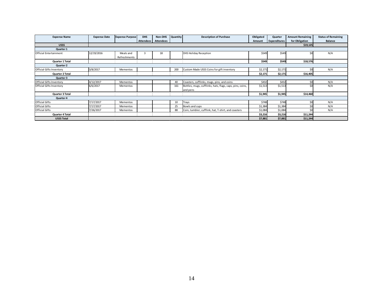| <b>Expense Name</b>             | <b>Expense Date</b> | <b>Expense Purpose</b>    | <b>DHS</b>       | Non-DHS          | <b>Quantity</b> | <b>Description of Purchase</b>                                        | Obligated | Quarter             | <b>Amount Remaining</b> | <b>Status of Remaining</b> |
|---------------------------------|---------------------|---------------------------|------------------|------------------|-----------------|-----------------------------------------------------------------------|-----------|---------------------|-------------------------|----------------------------|
|                                 |                     |                           | <b>Attendees</b> | <b>Attendees</b> |                 |                                                                       | Amount    | <b>Expenditures</b> | for Obligation          | <b>Balance</b>             |
| <b>USSS</b>                     |                     |                           |                  |                  |                 |                                                                       |           |                     | \$19,125                |                            |
| Quarter 1                       |                     |                           |                  |                  |                 |                                                                       |           |                     |                         |                            |
| <b>Official Entertainment</b>   | 12/19/2016          | Meals and<br>Refreshments |                  | 18               |                 | <b>DHS Holiday Reception</b>                                          | \$549     | \$549               | Śſ                      | N/A                        |
| Quarter 1 Total                 |                     |                           |                  |                  |                 |                                                                       | \$549     | \$549               | \$18,576                |                            |
| Quarter 2                       |                     |                           |                  |                  |                 |                                                                       |           |                     |                         |                            |
| <b>Official Gifts Inventory</b> | 3/8/2017            | Mementos                  |                  |                  | 200             | Custom Made USSS Coins for gift inventory                             | \$2,171   | \$2,171             | \$0                     | N/A                        |
| Quarter 2 Total                 |                     |                           |                  |                  |                 |                                                                       | \$2,171   | \$2,171             | \$16,405                |                            |
| Quarter 3                       |                     |                           |                  |                  |                 |                                                                       |           |                     |                         |                            |
| Official Gifts Inventory        | 4/12/2017           | Mementos                  |                  |                  | 40              | Coasters, cufflinks, mugs, pins, and coins                            | \$432     | \$432               | \$٢                     | N/A                        |
| <b>Official Gifts Inventory</b> | 6/6/2017            | Mementos                  |                  |                  | 161             | Bottles, mugs, cufflinks, hats, flags, caps, pins, coins,<br>and pens | \$1,513   | \$1,513             |                         | N/A                        |
| Quarter 3 Total                 |                     |                           |                  |                  |                 |                                                                       | \$1,945   | \$1,945             | \$14,460                |                            |
| Quarter 4                       |                     |                           |                  |                  |                 |                                                                       |           |                     |                         |                            |
| <b>Official Gifts</b>           | 7/17/2017           | Mementos                  |                  |                  | 10              | Trays                                                                 | \$748     | \$748               | \$0                     | N/A                        |
| Official Gifts                  | 7/17/2017           | Mementos                  |                  |                  | 25              | Bowls and cups                                                        | \$1,384   | \$1,384             | Śſ                      | N/A                        |
| Official Gifts                  | 7/26/2017           | Mementos                  |                  |                  | 88              | Coin, tumbler, cufflink, hat, T-shirt, and coasters                   | \$1,084   | \$1,084             | \$ſ                     | N/A                        |
| Quarter 4 Total                 |                     |                           |                  |                  |                 |                                                                       | \$3,216   | \$3,216             | \$11,244                |                            |
| <b>USSS Total</b>               |                     |                           |                  |                  |                 |                                                                       | \$7,881   | \$7,881             | \$11,244                |                            |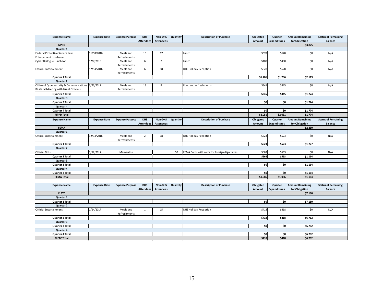| <b>Expense Name</b>                                                                 | <b>Expense Date</b> | <b>Expense Purpose</b>    | <b>DHS</b>                     | Non-DHS                     | Quantity | <b>Description of Purchase</b>                | Obligated           | Quarter                        | <b>Amount Remaining</b>                   | <b>Status of Remaining</b>            |
|-------------------------------------------------------------------------------------|---------------------|---------------------------|--------------------------------|-----------------------------|----------|-----------------------------------------------|---------------------|--------------------------------|-------------------------------------------|---------------------------------------|
|                                                                                     |                     |                           | <b>Attendees</b>               | <b>Attendees</b>            |          |                                               | Amount              | <b>Expenditures</b>            | for Obligation                            | <b>Balance</b>                        |
| <b>NPPD</b>                                                                         |                     |                           |                                |                             |          |                                               |                     |                                | \$3,825                                   |                                       |
| Quarter 1<br>Federal Protective Service Law                                         | 11/18/2016          | Meals and                 | 10                             | 17                          |          | Lunch                                         | \$678               | \$678                          |                                           |                                       |
| <b>Enforcement Luncheon</b>                                                         |                     | Refreshments              |                                |                             |          |                                               |                     |                                | \$0                                       | N/A                                   |
| Cyber Dialogue Luncheon                                                             | 12/7/2016           | Meals and<br>Refreshments | 6                              | $\overline{7}$              |          | Lunch                                         | \$400               | \$400                          | \$0                                       | N/A                                   |
| <b>Official Entertainment</b>                                                       | 12/14/2016          | Meals and<br>Refreshments | 6                              | 18                          |          | DHS Holiday Reception                         | \$628               | \$628                          | \$0                                       | N/A                                   |
| Quarter 1 Total                                                                     |                     |                           |                                |                             |          |                                               | \$1,706             | \$1,706                        | \$2,119                                   |                                       |
| Quarter 2                                                                           |                     |                           |                                |                             |          |                                               |                     |                                |                                           |                                       |
| Office of Cybersecurity & Communications<br>Bilateral Meeting with Israel Officials | 3/23/2017           | Meals and<br>Refreshments | 13                             | 8                           |          | Food and refreshments                         | \$345               | \$345                          | \$0                                       | N/A                                   |
| Quarter 2 Total                                                                     |                     |                           |                                |                             |          |                                               | \$345               | \$345                          | \$1,774                                   |                                       |
| Quarter 3                                                                           |                     |                           |                                |                             |          |                                               |                     |                                |                                           |                                       |
| Quarter 3 Total                                                                     |                     |                           |                                |                             |          |                                               | \$0                 | \$0                            | \$1,774                                   |                                       |
| Quarter 4                                                                           |                     |                           |                                |                             |          |                                               |                     |                                |                                           |                                       |
| Quarter 4 Total                                                                     |                     |                           |                                |                             |          |                                               | \$0                 | \$0                            | \$1,774                                   |                                       |
| <b>NPPD Total</b>                                                                   |                     |                           |                                |                             |          |                                               | \$2,051             | \$2,051                        | \$1,774                                   |                                       |
| <b>Expense Name</b>                                                                 | <b>Expense Date</b> | <b>Expense Purpose</b>    | <b>DHS</b>                     | Non-DHS                     | Quantity | <b>Description of Purchase</b>                | Obligated           | Quarter                        | <b>Amount Remaining</b>                   | <b>Status of Remaining</b>            |
|                                                                                     |                     |                           | <b>Attendees</b>               | <b>Attendees</b>            |          |                                               | Amount              | <b>Expenditures</b>            | for Obligation                            | <b>Balance</b>                        |
| <b>FEMA</b>                                                                         |                     |                           |                                |                             |          |                                               |                     |                                | \$2,250                                   |                                       |
| Quarter 1                                                                           |                     |                           |                                |                             |          |                                               |                     |                                |                                           |                                       |
| Official Entertainment                                                              | 12/14/2016          | Meals and<br>Refreshments | $\overline{2}$                 | 18                          |          | <b>DHS Holiday Reception</b>                  | \$523               | \$523                          | \$0                                       | N/A                                   |
| Quarter 1 Total                                                                     |                     |                           |                                |                             |          |                                               | \$523               | \$523                          | \$1,727                                   |                                       |
| Quarter 2                                                                           |                     |                           |                                |                             |          |                                               |                     |                                |                                           |                                       |
| <b>Official Gifts</b>                                                               | 1/12/2017           | Mementos                  |                                |                             | 50       | FEMA Coins with color for foreign dignitaries | \$563               | \$563                          | \$0                                       | N/A                                   |
| Quarter 2 Total                                                                     |                     |                           |                                |                             |          |                                               | \$563               | \$563                          | \$1,164                                   |                                       |
| Quarter 3                                                                           |                     |                           |                                |                             |          |                                               |                     |                                |                                           |                                       |
| Quarter 3 Total                                                                     |                     |                           |                                |                             |          |                                               | \$0                 | \$0                            | \$1,164                                   |                                       |
| Quarter 4                                                                           |                     |                           |                                |                             |          |                                               |                     |                                |                                           |                                       |
| Quarter 4 Total                                                                     |                     |                           |                                |                             |          |                                               | \$0                 | \$0                            | \$1,164                                   |                                       |
| <b>FEMA Total</b>                                                                   |                     |                           |                                |                             |          |                                               | \$1,086             | \$1,086                        | \$1,164                                   |                                       |
|                                                                                     |                     |                           |                                |                             |          |                                               |                     |                                |                                           |                                       |
| <b>Expense Name</b>                                                                 | <b>Expense Date</b> | <b>Expense Purpose</b>    | <b>DHS</b><br><b>Attendees</b> | Non-DHS<br><b>Attendees</b> | Quantity | <b>Description of Purchase</b>                | Obligated<br>Amount | Quarter<br><b>Expenditures</b> | <b>Amount Remaining</b><br>for Obligation | <b>Status of Remaining</b><br>Balance |
| <b>FLETC</b>                                                                        |                     |                           |                                |                             |          |                                               |                     |                                | \$7,180                                   |                                       |
| Quarter 1                                                                           |                     |                           |                                |                             |          |                                               |                     |                                |                                           |                                       |
| Quarter 1 Total                                                                     |                     |                           |                                |                             |          |                                               | \$0                 | $\overline{50}$                | \$7,180                                   |                                       |
| Quarter 2                                                                           |                     |                           |                                |                             |          |                                               |                     |                                |                                           |                                       |
| Official Entertainment                                                              | 1/14/2017           | Meals and<br>Refreshments | $\mathbf{1}$                   | 15                          |          | DHS Holiday Reception                         | \$418               | \$418                          | \$0                                       | N/A                                   |
| Quarter 2 Total                                                                     |                     |                           |                                |                             |          |                                               | \$418               | \$418                          | \$6,762                                   |                                       |
| Quarter 3                                                                           |                     |                           |                                |                             |          |                                               |                     |                                |                                           |                                       |
| Quarter 3 Total                                                                     |                     |                           |                                |                             |          |                                               | \$0                 | \$0                            | \$6,762                                   |                                       |
| Quarter 4                                                                           |                     |                           |                                |                             |          |                                               |                     |                                |                                           |                                       |
| Quarter 4 Total                                                                     |                     |                           |                                |                             |          |                                               | \$0                 | \$0                            | \$6,762                                   |                                       |
| <b>FLETC Total</b>                                                                  |                     |                           |                                |                             |          |                                               | \$418               | \$418                          | \$6,762                                   |                                       |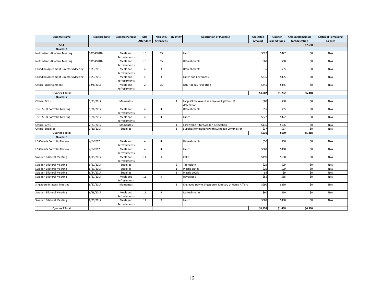| <b>Expense Name</b>                  | <b>Expense Date</b> | <b>Expense Purpose</b>    | <b>DHS</b>       | Non-DHS          | Quantity                | <b>Description of Purchase</b>                            | Obligated     | Quarter             | <b>Amount Remaining</b> | <b>Status of Remaining</b> |
|--------------------------------------|---------------------|---------------------------|------------------|------------------|-------------------------|-----------------------------------------------------------|---------------|---------------------|-------------------------|----------------------------|
|                                      |                     |                           | <b>Attendees</b> | <b>Attendees</b> |                         |                                                           | <b>Amount</b> | <b>Expenditures</b> | for Obligation          | <b>Balance</b>             |
| S&T                                  |                     |                           |                  |                  |                         |                                                           |               |                     | \$7,650                 |                            |
| Quarter 1                            |                     |                           |                  |                  |                         |                                                           |               |                     |                         |                            |
| Netherlands Bilateral Meeting        | 10/14/2016          | Meals and<br>Refreshments | 16               | 15               |                         | Lunch                                                     | \$327         | \$327               | \$0                     | N/A                        |
| Netherlands Bilateral Meeting        | 10/14/2016          | Meals and<br>Refreshments | 16               | 15               |                         | Refreshments                                              | \$60          | \$60                | \$0                     | N/A                        |
| Canadian Agreement Directors Meeting | 11/3/2016           | Meals and<br>Refreshments | $\overline{4}$   | $\overline{3}$   |                         | Refreshments                                              | \$35          | \$35                | \$0                     | N/A                        |
| Canadian Agreement Directors Meeting | 11/3/2016           | Meals and<br>Refreshments | $\overline{4}$   | $\overline{3}$   |                         | Lunch and beverages                                       | \$335         | \$335               | \$0                     | N/A                        |
| <b>Official Entertainment</b>        | 12/8/2016           | Meals and<br>Refreshments | $\overline{2}$   | 15               |                         | <b>DHS Holiday Reception</b>                              | \$445         | \$445               | \$0                     | N/A                        |
| Quarter 1 Total                      |                     |                           |                  |                  |                         |                                                           | \$1,202       | \$1,202             | \$6,448                 |                            |
| Quarter 2                            |                     |                           |                  |                  |                         |                                                           |               |                     |                         |                            |
| <b>Official Gifts</b>                | 1/23/2017           | Mementos                  |                  |                  | $\mathbf{1}$            | Large Globe Award as a farewell gift for UK<br>delegation | \$80          | \$80                | \$0                     | N/A                        |
| The US-UK Portfolio Meeting          | 1/26/2017           | Meals and<br>Refreshments | $\overline{4}$   | $\overline{4}$   |                         | Refreshments                                              | \$55          | \$55                | \$0                     | N/A                        |
| The US-UK Portfolio Meeting          | 1/26/2017           | Meals and<br>Refreshments | $\overline{4}$   | $\overline{4}$   |                         | Lunch                                                     | \$322         | \$322               | \$0                     | N/A                        |
| <b>Official Gifts</b>                | 2/23/2017           | Mementos                  |                  |                  | $\overline{1}$          | Farewell gift for Sweden delegation                       | \$136         | \$136               | \$0                     | N/A                        |
| <b>Official Supplies</b>             | 3/30/2017           | Supplies                  |                  |                  | $\overline{\mathbf{3}}$ | Supplies for meeting with European Commission             | \$37          | \$37                | \$0                     | N/A                        |
| Quarter 2 Total                      |                     |                           |                  |                  |                         |                                                           | \$630         | \$630               | \$5,818                 |                            |
| Quarter 3                            |                     |                           |                  |                  |                         |                                                           |               |                     |                         |                            |
| US Canada Portfolio Review           | 4/5/2017            | Meals and<br>Refreshments | $\overline{4}$   | 4                |                         | Refreshments                                              | \$50          | \$50                | \$0                     | N/A                        |
| US Canada Portfolio Review           | 4/5/2017            | Meals and<br>Refreshments | 4                | $\overline{4}$   |                         | Lunch                                                     | \$368         | \$368               | \$0                     | N/A                        |
| Sweden Bilateral Meeting             | 6/15/2017           | Meals and<br>Refreshments | 11               | 9                |                         | Cake                                                      | \$190         | \$190               | \$0                     | N/A                        |
| <b>Sweden Bilateral Meeting</b>      | 6/21/2017           | Supplies                  |                  |                  | $\overline{2}$          | Tablecloth                                                | \$29          | \$29                | \$0                     | N/A                        |
| Sweden Bilateral Meeting             | 6/23/2017           | Supplies                  |                  |                  | 1                       | Plastic plates                                            | \$20          | \$20                | \$0                     | N/A                        |
| Sweden Bilateral Meeting             | 6/24/2017           | Supplies                  |                  |                  |                         | Plastic bowls                                             | \$9           | \$9                 | \$0                     | N/A                        |
| Sweden Bilateral Meeting             | 6/27/2017           | Meals and<br>Refreshments | 11               | 9                |                         | <b>Beverages</b>                                          | \$55          | \$55                | \$0                     | N/A                        |
| <b>Singapore Bilateral Meeting</b>   | 6/27/2017           | Mementos                  |                  |                  | 1                       | Engraved tray to Singapore's Ministry of Home Affairs     | \$290         | \$290               | \$0                     | N/A                        |
| <b>Sweden Bilateral Meeting</b>      | 6/28/2017           | Meals and<br>Refreshments | 11               | 9                |                         | Refreshments                                              | \$60          | \$60                | \$0                     | N/A                        |
| Sweden Bilateral Meeting             | 6/29/2017           | Meals and<br>Refreshments | 11               | 9                |                         | Lunch                                                     | \$388         | \$388               | \$0                     | N/A                        |
| <b>Quarter 3 Total</b>               |                     |                           |                  |                  |                         |                                                           | \$1,458       | \$1,458             | \$4,360                 |                            |